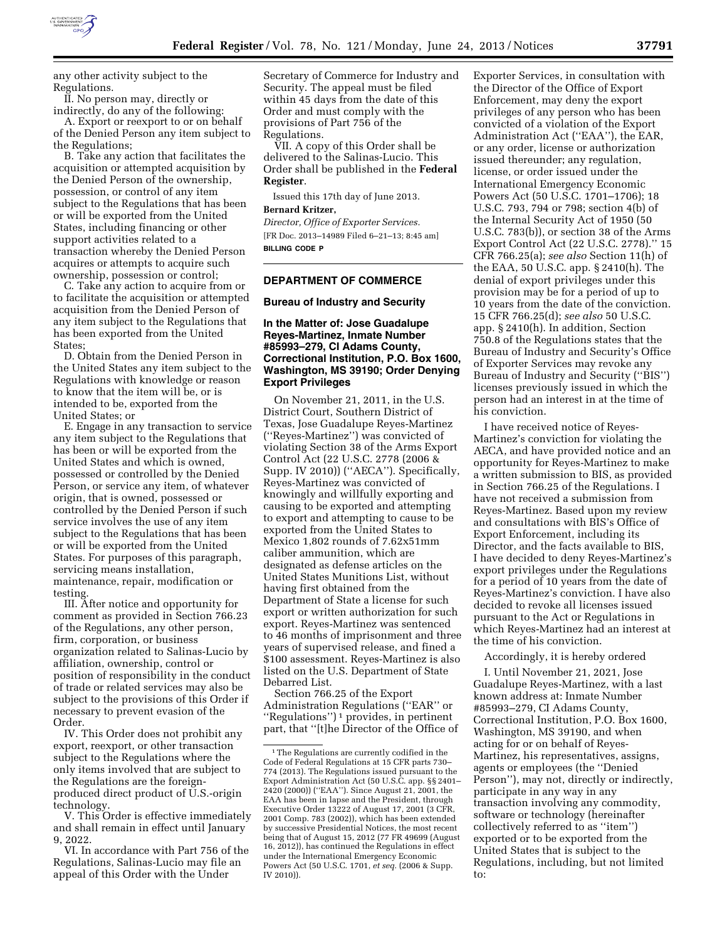

any other activity subject to the Regulations.

II. No person may, directly or indirectly, do any of the following: A. Export or reexport to or on behalf of the Denied Person any item subject to

the Regulations; B. Take any action that facilitates the acquisition or attempted acquisition by the Denied Person of the ownership, possession, or control of any item subject to the Regulations that has been or will be exported from the United States, including financing or other support activities related to a transaction whereby the Denied Person acquires or attempts to acquire such ownership, possession or control;

C. Take any action to acquire from or to facilitate the acquisition or attempted acquisition from the Denied Person of any item subject to the Regulations that has been exported from the United States;

D. Obtain from the Denied Person in the United States any item subject to the Regulations with knowledge or reason to know that the item will be, or is intended to be, exported from the United States; or

E. Engage in any transaction to service any item subject to the Regulations that has been or will be exported from the United States and which is owned, possessed or controlled by the Denied Person, or service any item, of whatever origin, that is owned, possessed or controlled by the Denied Person if such service involves the use of any item subject to the Regulations that has been or will be exported from the United States. For purposes of this paragraph, servicing means installation, maintenance, repair, modification or testing.

III. After notice and opportunity for comment as provided in Section 766.23 of the Regulations, any other person, firm, corporation, or business organization related to Salinas-Lucio by affiliation, ownership, control or position of responsibility in the conduct of trade or related services may also be subject to the provisions of this Order if necessary to prevent evasion of the Order.

IV. This Order does not prohibit any export, reexport, or other transaction subject to the Regulations where the only items involved that are subject to the Regulations are the foreignproduced direct product of U.S.-origin technology.

V. This Order is effective immediately and shall remain in effect until January 9, 2022.

VI. In accordance with Part 756 of the Regulations, Salinas-Lucio may file an appeal of this Order with the Under

Secretary of Commerce for Industry and Security. The appeal must be filed within 45 days from the date of this Order and must comply with the provisions of Part 756 of the Regulations.

VII. A copy of this Order shall be delivered to the Salinas-Lucio. This Order shall be published in the **Federal Register**.

Issued this 17th day of June 2013.

# **Bernard Kritzer,**

*Director, Office of Exporter Services.*  [FR Doc. 2013–14989 Filed 6–21–13; 8:45 am] **BILLING CODE P** 

### **DEPARTMENT OF COMMERCE**

### **Bureau of Industry and Security**

## **In the Matter of: Jose Guadalupe Reyes-Martinez, Inmate Number #85993–279, CI Adams County, Correctional Institution, P.O. Box 1600, Washington, MS 39190; Order Denying Export Privileges**

On November 21, 2011, in the U.S. District Court, Southern District of Texas, Jose Guadalupe Reyes-Martinez (''Reyes-Martinez'') was convicted of violating Section 38 of the Arms Export Control Act (22 U.S.C. 2778 (2006 & Supp. IV 2010)) (''AECA''). Specifically, Reyes-Martinez was convicted of knowingly and willfully exporting and causing to be exported and attempting to export and attempting to cause to be exported from the United States to Mexico 1,802 rounds of 7.62x51mm caliber ammunition, which are designated as defense articles on the United States Munitions List, without having first obtained from the Department of State a license for such export or written authorization for such export. Reyes-Martinez was sentenced to 46 months of imprisonment and three years of supervised release, and fined a \$100 assessment. Reyes-Martinez is also listed on the U.S. Department of State Debarred List.

Section 766.25 of the Export Administration Regulations (''EAR'' or ''Regulations'') 1 provides, in pertinent part, that ''[t]he Director of the Office of Exporter Services, in consultation with the Director of the Office of Export Enforcement, may deny the export privileges of any person who has been convicted of a violation of the Export Administration Act (''EAA''), the EAR, or any order, license or authorization issued thereunder; any regulation, license, or order issued under the International Emergency Economic Powers Act (50 U.S.C. 1701–1706); 18 U.S.C. 793, 794 or 798; section 4(b) of the Internal Security Act of 1950 (50 U.S.C. 783(b)), or section 38 of the Arms Export Control Act (22 U.S.C. 2778).'' 15 CFR 766.25(a); *see also* Section 11(h) of the EAA, 50 U.S.C. app. § 2410(h). The denial of export privileges under this provision may be for a period of up to 10 years from the date of the conviction. 15 CFR 766.25(d); *see also* 50 U.S.C. app. § 2410(h). In addition, Section 750.8 of the Regulations states that the Bureau of Industry and Security's Office of Exporter Services may revoke any Bureau of Industry and Security (''BIS'') licenses previously issued in which the person had an interest in at the time of his conviction.

I have received notice of Reyes-Martinez's conviction for violating the AECA, and have provided notice and an opportunity for Reyes-Martinez to make a written submission to BIS, as provided in Section 766.25 of the Regulations. I have not received a submission from Reyes-Martinez. Based upon my review and consultations with BIS's Office of Export Enforcement, including its Director, and the facts available to BIS, I have decided to deny Reyes-Martinez's export privileges under the Regulations for a period of 10 years from the date of Reyes-Martinez's conviction. I have also decided to revoke all licenses issued pursuant to the Act or Regulations in which Reyes-Martinez had an interest at the time of his conviction.

#### Accordingly, it is hereby ordered

I. Until November 21, 2021, Jose Guadalupe Reyes-Martinez, with a last known address at: Inmate Number #85993–279, CI Adams County, Correctional Institution, P.O. Box 1600, Washington, MS 39190, and when acting for or on behalf of Reyes-Martinez, his representatives, assigns, agents or employees (the ''Denied Person''), may not, directly or indirectly, participate in any way in any transaction involving any commodity, software or technology (hereinafter collectively referred to as ''item'') exported or to be exported from the United States that is subject to the Regulations, including, but not limited to:

<sup>&</sup>lt;sup>1</sup>The Regulations are currently codified in the Code of Federal Regulations at 15 CFR parts 730– 774 (2013). The Regulations issued pursuant to the Export Administration Act (50 U.S.C. app. §§ 2401– 2420 (2000)) (''EAA''). Since August 21, 2001, the EAA has been in lapse and the President, through Executive Order 13222 of August 17, 2001 (3 CFR, 2001 Comp. 783 (2002)), which has been extended by successive Presidential Notices, the most recent being that of August 15, 2012 (77 FR 49699 (August 16, 2012)), has continued the Regulations in effect under the International Emergency Economic Powers Act (50 U.S.C. 1701, *et seq.* (2006 & Supp. IV 2010)).